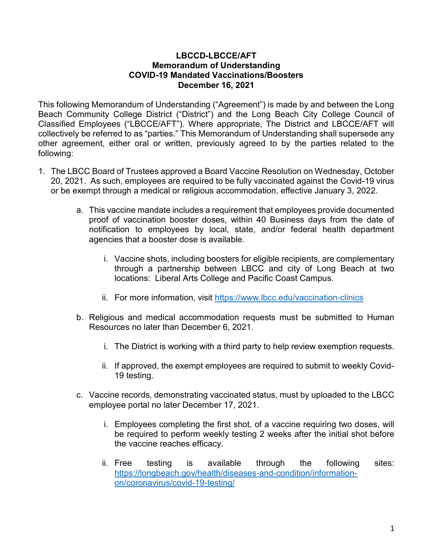## LBCCD-LBCCE/AFT Memorandum of Understanding COVID-19 Mandated Vaccinations/Boosters December 16, 2021

This following Memorandum of Understanding ("Agreement") is made by and between the Long Beach Community College District ("District") and the Long Beach City College Council of Classified Employees ("LBCCE/AFT"). Where appropriate, The District and LBCCE/AFT will collectively be referred to as "parties." This Memorandum of Understanding shall supersede any other agreement, either oral or written, previously agreed to by the parties related to the following:

- 1. The LBCC Board of Trustees approved a Board Vaccine Resolution on Wednesday, October 20, 2021. As such, employees are required to be fully vaccinated against the Covid-19 virus or be exempt through a medical or religious accommodation, effective January 3, 2022.
	- a. This vaccine mandate includes a requirement that employees provide documented proof of vaccination booster doses, within 40 Business days from the date of notification to employees by local, state, and/or federal health department agencies that a booster dose is available.
		- i. Vaccine shots, including boosters for eligible recipients, are complementary through a partnership between LBCC and city of Long Beach at two locations: Liberal Arts College and Pacific Coast Campus.
		- ii. For more information, visit https://www.lbcc.edu/vaccination-clinics
	- b. Religious and medical accommodation requests must be submitted to Human Resources no later than December 6, 2021.
		- i. The District is working with a third party to help review exemption requests.
		- ii. If approved, the exempt employees are required to submit to weekly Covid-19 testing.
	- c. Vaccine records, demonstrating vaccinated status, must by uploaded to the LBCC employee portal no later December 17, 2021.
		- i. Employees completing the first shot, of a vaccine requiring two doses, will be required to perform weekly testing 2 weeks after the initial shot before the vaccine reaches efficacy.
		- ii. Free testing is available through the following sites: https://longbeach.gov/health/diseases-and-condition/informationon/coronavirus/covid-19-testing/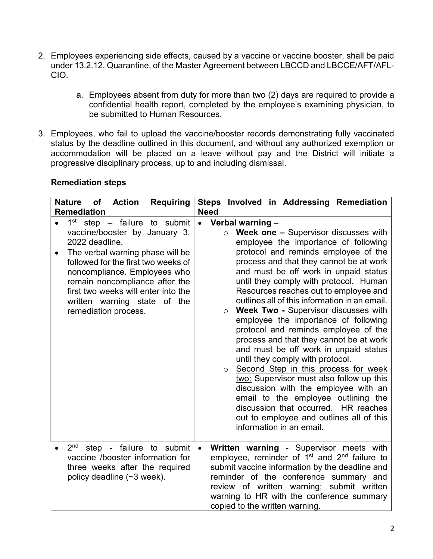- 2. Employees experiencing side effects, caused by a vaccine or vaccine booster, shall be paid under 13.2.12, Quarantine, of the Master Agreement between LBCCD and LBCCE/AFT/AFL-CIO.
	- a. Employees absent from duty for more than two (2) days are required to provide a confidential health report, completed by the employee's examining physician, to be submitted to Human Resources.
- 3. Employees, who fail to upload the vaccine/booster records demonstrating fully vaccinated status by the deadline outlined in this document, and without any authorized exemption or accommodation will be placed on a leave without pay and the District will initiate a progressive disciplinary process, up to and including dismissal.

| <b>Nature</b><br><b>Requiring</b><br>of<br><b>Action</b><br><b>Remediation</b>                                                                                                                                                                                                                                                                          | Steps Involved in Addressing Remediation<br><b>Need</b>                                                                                                                                                                                                                                                                                                                                                                                                                                                                                                                                                                                                                                                                                                                                                                                                                                                                                                    |
|---------------------------------------------------------------------------------------------------------------------------------------------------------------------------------------------------------------------------------------------------------------------------------------------------------------------------------------------------------|------------------------------------------------------------------------------------------------------------------------------------------------------------------------------------------------------------------------------------------------------------------------------------------------------------------------------------------------------------------------------------------------------------------------------------------------------------------------------------------------------------------------------------------------------------------------------------------------------------------------------------------------------------------------------------------------------------------------------------------------------------------------------------------------------------------------------------------------------------------------------------------------------------------------------------------------------------|
| $1st$ step – failure to submit<br>$\bullet$<br>vaccine/booster by January 3,<br>2022 deadline.<br>The verbal warning phase will be<br>$\bullet$<br>followed for the first two weeks of<br>noncompliance. Employees who<br>remain noncompliance after the<br>first two weeks will enter into the<br>written warning state of the<br>remediation process. | Verbal warning $-$<br>$\bullet$<br>Week one - Supervisor discusses with<br>$\circ$<br>employee the importance of following<br>protocol and reminds employee of the<br>process and that they cannot be at work<br>and must be off work in unpaid status<br>until they comply with protocol. Human<br>Resources reaches out to employee and<br>outlines all of this information in an email.<br><b>Week Two - Supervisor discusses with</b><br>$\circ$<br>employee the importance of following<br>protocol and reminds employee of the<br>process and that they cannot be at work<br>and must be off work in unpaid status<br>until they comply with protocol.<br>Second Step in this process for week<br>$\circ$<br>two: Supervisor must also follow up this<br>discussion with the employee with an<br>email to the employee outlining the<br>discussion that occurred. HR reaches<br>out to employee and outlines all of this<br>information in an email. |
| 2 <sup>nd</sup><br>step - failure to submit<br>vaccine /booster information for<br>three weeks after the required<br>policy deadline (~3 week).                                                                                                                                                                                                         | Written warning - Supervisor meets with<br>$\bullet$<br>employee, reminder of 1 <sup>st</sup> and 2 <sup>nd</sup> failure to<br>submit vaccine information by the deadline and<br>reminder of the conference summary and<br>review of written warning; submit written<br>warning to HR with the conference summary<br>copied to the written warning.                                                                                                                                                                                                                                                                                                                                                                                                                                                                                                                                                                                                       |

## Remediation steps